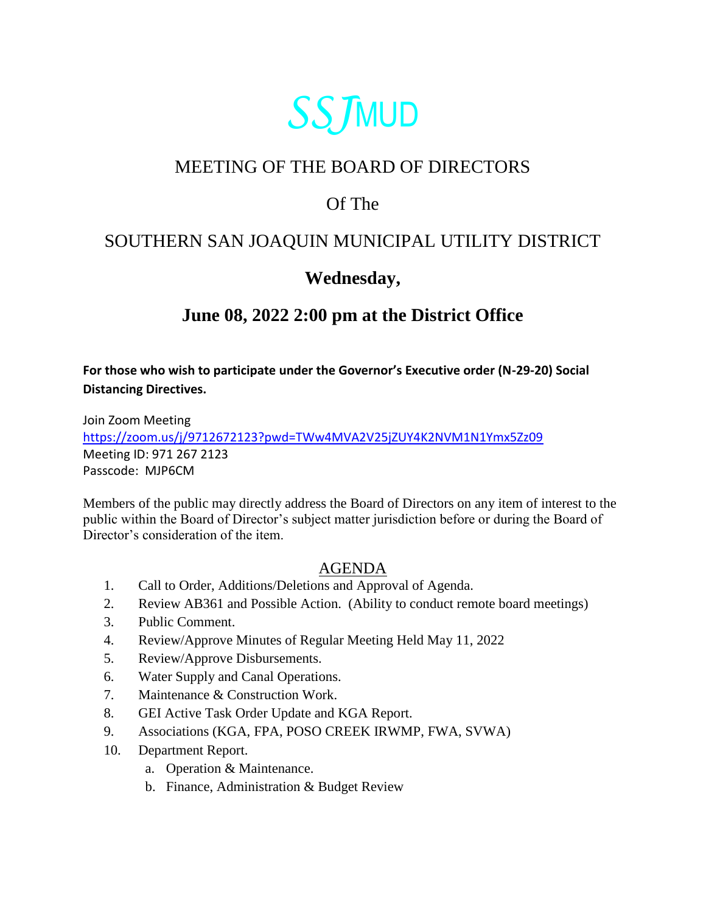

# MEETING OF THE BOARD OF DIRECTORS

### Of The

### SOUTHERN SAN JOAQUIN MUNICIPAL UTILITY DISTRICT

## **Wednesday,**

# **June 08, 2022 2:00 pm at the District Office**

**For those who wish to participate under the Governor's Executive order (N-29-20) Social Distancing Directives.**

Join Zoom Meeting <https://zoom.us/j/9712672123?pwd=TWw4MVA2V25jZUY4K2NVM1N1Ymx5Zz09> Meeting ID: 971 267 2123 Passcode: MJP6CM

Members of the public may directly address the Board of Directors on any item of interest to the public within the Board of Director's subject matter jurisdiction before or during the Board of Director's consideration of the item.

#### AGENDA

- 1. Call to Order, Additions/Deletions and Approval of Agenda.
- 2. Review AB361 and Possible Action. (Ability to conduct remote board meetings)
- 3. Public Comment.
- 4. Review/Approve Minutes of Regular Meeting Held May 11, 2022
- 5. Review/Approve Disbursements.
- 6. Water Supply and Canal Operations.
- 7. Maintenance & Construction Work.
- 8. GEI Active Task Order Update and KGA Report.
- 9. Associations (KGA, FPA, POSO CREEK IRWMP, FWA, SVWA)
- 10. Department Report.
	- a. Operation & Maintenance.
	- b. Finance, Administration & Budget Review